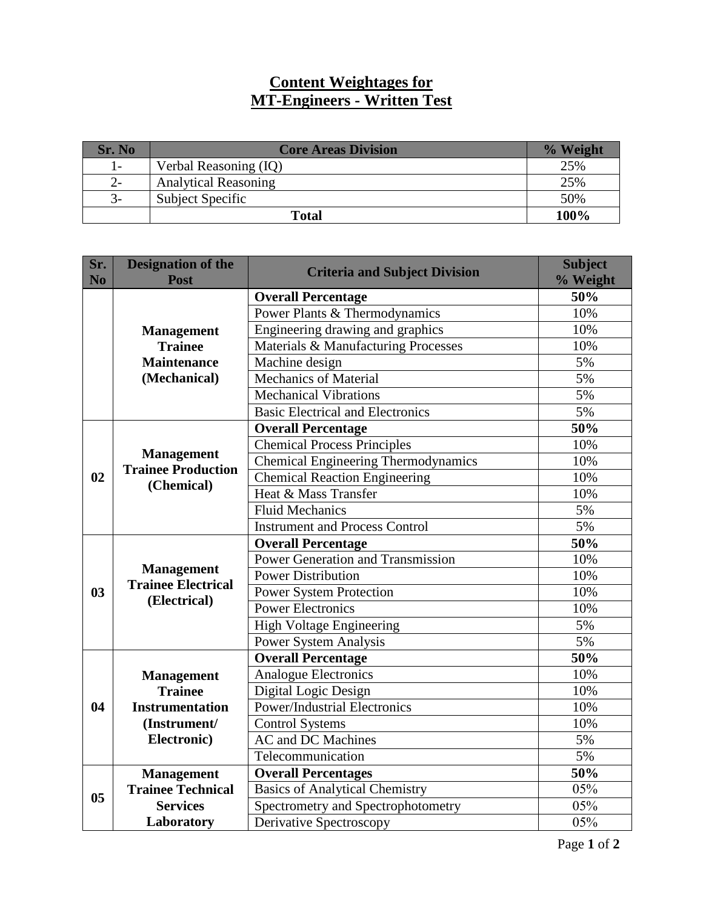## **Content Weightages for MT-Engineers - Written Test**

| Sr. No | <b>Core Areas Division</b>  | % Weight |
|--------|-----------------------------|----------|
| $1-$   | Verbal Reasoning (IQ)       | 25%      |
| 2-     | <b>Analytical Reasoning</b> | 25%      |
| $3-$   | <b>Subject Specific</b>     | 50%      |
|        | <b>Total</b>                | 100%     |

| Sr.<br>N <sub>o</sub> | <b>Designation of the</b><br><b>Post</b>                       | <b>Criteria and Subject Division</b>       | <b>Subject</b><br>% Weight |
|-----------------------|----------------------------------------------------------------|--------------------------------------------|----------------------------|
|                       |                                                                | <b>Overall Percentage</b>                  | 50%                        |
|                       |                                                                | Power Plants & Thermodynamics              | 10%                        |
|                       | <b>Management</b>                                              | Engineering drawing and graphics           | 10%                        |
|                       | <b>Trainee</b>                                                 | Materials & Manufacturing Processes        | 10%                        |
|                       | <b>Maintenance</b>                                             | Machine design                             | 5%                         |
|                       | (Mechanical)                                                   | <b>Mechanics of Material</b>               | 5%                         |
|                       |                                                                | <b>Mechanical Vibrations</b>               | 5%                         |
|                       |                                                                | <b>Basic Electrical and Electronics</b>    | 5%                         |
| 02                    | <b>Management</b><br><b>Trainee Production</b><br>(Chemical)   | <b>Overall Percentage</b>                  | 50%                        |
|                       |                                                                | <b>Chemical Process Principles</b>         | 10%                        |
|                       |                                                                | <b>Chemical Engineering Thermodynamics</b> | 10%                        |
|                       |                                                                | <b>Chemical Reaction Engineering</b>       | 10%                        |
|                       |                                                                | Heat & Mass Transfer                       | 10%                        |
|                       |                                                                | <b>Fluid Mechanics</b>                     | 5%                         |
|                       |                                                                | <b>Instrument and Process Control</b>      | 5%                         |
|                       | <b>Management</b><br><b>Trainee Electrical</b><br>(Electrical) | <b>Overall Percentage</b>                  | 50%                        |
|                       |                                                                | Power Generation and Transmission          | 10%                        |
|                       |                                                                | <b>Power Distribution</b>                  | 10%                        |
| 03                    |                                                                | <b>Power System Protection</b>             | 10%                        |
|                       |                                                                | <b>Power Electronics</b>                   | 10%                        |
|                       |                                                                | <b>High Voltage Engineering</b>            | 5%                         |
|                       |                                                                | Power System Analysis                      | 5%                         |
|                       |                                                                | <b>Overall Percentage</b>                  | 50%                        |
|                       | <b>Management</b>                                              | <b>Analogue Electronics</b>                | 10%                        |
|                       | <b>Trainee</b>                                                 | Digital Logic Design                       | 10%                        |
| 04                    | <b>Instrumentation</b>                                         | <b>Power/Industrial Electronics</b>        | 10%                        |
|                       | (Instrument/                                                   | <b>Control Systems</b>                     | 10%                        |
|                       | Electronic)                                                    | <b>AC</b> and DC Machines                  | 5%                         |
|                       |                                                                | Telecommunication                          | 5%                         |
|                       | <b>Management</b>                                              | <b>Overall Percentages</b>                 | 50%                        |
| 0 <sub>5</sub>        | <b>Trainee Technical</b>                                       | <b>Basics of Analytical Chemistry</b>      | 05%                        |
|                       | <b>Services</b>                                                | Spectrometry and Spectrophotometry         | 05%                        |
|                       | Laboratory                                                     | Derivative Spectroscopy                    | 05%                        |